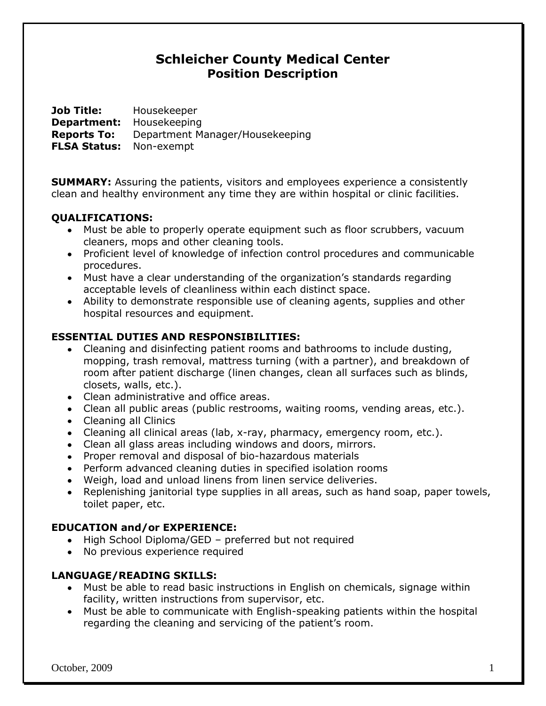# **Schleicher County Medical Center Position Description**

**Job Title:** Housekeeper **Department:** Housekeeping **Reports To:** Department Manager/Housekeeping **FLSA Status:** Non-exempt

**SUMMARY:** Assuring the patients, visitors and employees experience a consistently clean and healthy environment any time they are within hospital or clinic facilities.

## **QUALIFICATIONS:**

- Must be able to properly operate equipment such as floor scrubbers, vacuum cleaners, mops and other cleaning tools.
- Proficient level of knowledge of infection control procedures and communicable procedures.
- Must have a clear understanding of the organization's standards regarding acceptable levels of cleanliness within each distinct space.
- Ability to demonstrate responsible use of cleaning agents, supplies and other hospital resources and equipment.

#### **ESSENTIAL DUTIES AND RESPONSIBILITIES:**

- Cleaning and disinfecting patient rooms and bathrooms to include dusting, mopping, trash removal, mattress turning (with a partner), and breakdown of room after patient discharge (linen changes, clean all surfaces such as blinds, closets, walls, etc.).
- Clean administrative and office areas.
- Clean all public areas (public restrooms, waiting rooms, vending areas, etc.).
- Cleaning all Clinics
- Cleaning all clinical areas (lab, x-ray, pharmacy, emergency room, etc.).
- Clean all glass areas including windows and doors, mirrors.
- Proper removal and disposal of bio-hazardous materials
- Perform advanced cleaning duties in specified isolation rooms
- Weigh, load and unload linens from linen service deliveries.
- Replenishing janitorial type supplies in all areas, such as hand soap, paper towels, toilet paper, etc.

## **EDUCATION and/or EXPERIENCE:**

- High School Diploma/GED preferred but not required
- No previous experience required

## **LANGUAGE/READING SKILLS:**

- Must be able to read basic instructions in English on chemicals, signage within facility, written instructions from supervisor, etc.
- Must be able to communicate with English-speaking patients within the hospital regarding the cleaning and servicing of the patient's room.